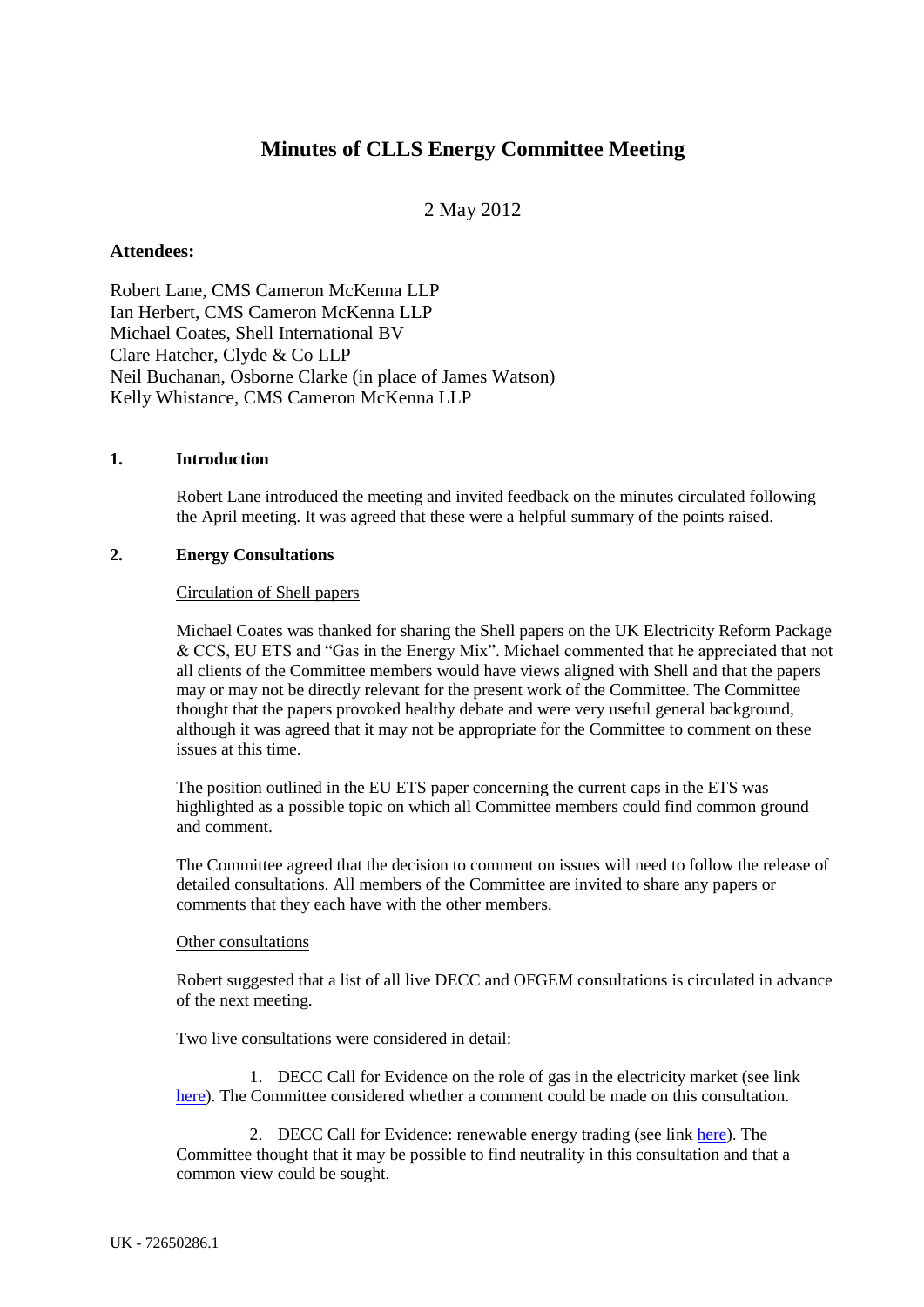# **Minutes of CLLS Energy Committee Meeting**

## 2 May 2012

## **Attendees:**

Robert Lane, CMS Cameron McKenna LLP Ian Herbert, CMS Cameron McKenna LLP Michael Coates, Shell International BV Clare Hatcher, Clyde & Co LLP Neil Buchanan, Osborne Clarke (in place of James Watson) Kelly Whistance, CMS Cameron McKenna LLP

## **1. Introduction**

Robert Lane introduced the meeting and invited feedback on the minutes circulated following the April meeting. It was agreed that these were a helpful summary of the points raised.

## **2. Energy Consultations**

#### Circulation of Shell papers

Michael Coates was thanked for sharing the Shell papers on the UK Electricity Reform Package & CCS, EU ETS and "Gas in the Energy Mix". Michael commented that he appreciated that not all clients of the Committee members would have views aligned with Shell and that the papers may or may not be directly relevant for the present work of the Committee. The Committee thought that the papers provoked healthy debate and were very useful general background, although it was agreed that it may not be appropriate for the Committee to comment on these issues at this time.

The position outlined in the EU ETS paper concerning the current caps in the ETS was highlighted as a possible topic on which all Committee members could find common ground and comment.

The Committee agreed that the decision to comment on issues will need to follow the release of detailed consultations. All members of the Committee are invited to share any papers or comments that they each have with the other members.

#### Other consultations

Robert suggested that a list of all live DECC and OFGEM consultations is circulated in advance of the next meeting.

Two live consultations were considered in detail:

1. DECC Call for Evidence on the role of gas in the electricity market (see link [here\)](http://www.decc.gov.uk/en/content/cms/consultations/gas_elec_mkt/gas_elec_mkt.aspx). The Committee considered whether a comment could be made on this consultation.

2. DECC Call for Evidence: renewable energy trading (see link [here\)](http://www.decc.gov.uk/en/content/cms/consultations/trading/trading.aspx). The Committee thought that it may be possible to find neutrality in this consultation and that a common view could be sought.